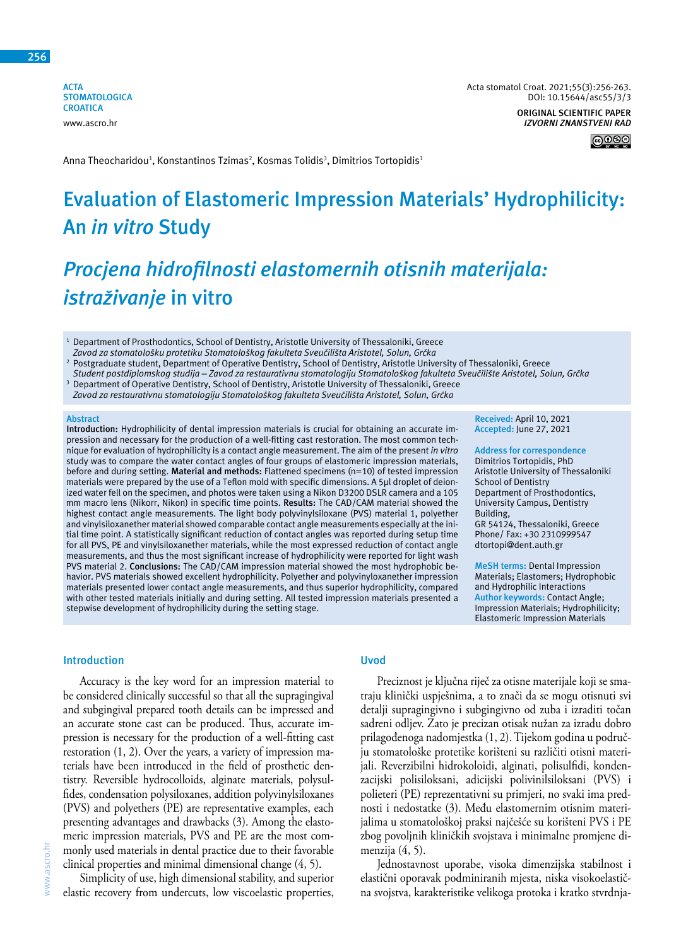**ACTA STOMATOLOGICA CROATICA** www.ascro.hr

**Received:** April 10, 2021 **Accepted:** June 27, 2021 **Address for correspondence** Dimitrios Tortopidis, PhD Aristotle University of Thessaloniki

School of Dentistry

Building,

Department of Prosthodontics, University Campus, Dentistry

GR 54124, Thessaloniki, Greece Phone/ Fax: +30 2310999547 dtortopi@dent.auth.gr

**MeSH terms:** Dental Impression Materials; Elastomers; Hydrophobic and Hydrophilic Interactions **Author keywords:** Contact Angle; Impression Materials; Hydrophilicity; Elastomeric Impression Materials

*IZVORNI ZNANSTVENI RAD*

∣⊚⊕⊛⊜

Anna Theocharidou<sup>1</sup>, Konstantinos Tzimas<sup>2</sup>, Kosmas Tolidis<sup>3</sup>, Dimitrios Tortopidis<sup>1</sup>

# **Evaluation of Elastomeric Impression Materials' Hydrophilicity: An** *in vitro* **Study**

# *Procjena hidrofilnosti elastomernih otisnih materijala: istraživanje* **in vitro**

- <sup>1</sup> Department of Prosthodontics, School of Dentistry, Aristotle University of Thessaloniki, Greece *Zavod za stomatološku protetiku Stomatološkog fakulteta Sveučilišta Aristotel, Solun, Grčka*
- 2 Postgraduate student, Department of Operative Dentistry, School of Dentistry, Aristotle University of Thessaloniki, Greece *Student postdiplomskog studija – Zavod za restaurativnu stomatologiju Stomatološkog fakulteta Sveučilište Aristotel, Solun, Grčka* 3
- Department of Operative Dentistry, School of Dentistry, Aristotle University of Thessaloniki, Greece *Zavod za restaurativnu stomatologiju Stomatološkog fakulteta Sveučilišta Aristotel, Solun, Grčka*

#### **Abstract**

**Introduction:** Hydrophilicity of dental impression materials is crucial for obtaining an accurate impression and necessary for the production of a well-fitting cast restoration. The most common technique for evaluation of hydrophilicity is a contact angle measurement. The aim of the present *in vitro* study was to compare the water contact angles of four groups of elastomeric impression materials, before and during setting. **Material and methods:** Flattened specimens (n=10) of tested impression materials were prepared by the use of a Teflon mold with specific dimensions. A 5μl droplet of deionized water fell on the specimen, and photos were taken using a Nikon D3200 DSLR camera and a 105 mm macro lens (Nikorr, Nikon) in specific time points. **Results:** The CAD/CAM material showed the highest contact angle measurements. The light body polyvinylsiloxane (PVS) material 1, polyether and vinylsiloxanether material showed comparable contact angle measurements especially at the initial time point. A statistically significant reduction of contact angles was reported during setup time for all PVS, PE and vinylsiloxanether materials, while the most expressed reduction of contact angle measurements, and thus the most significant increase of hydrophilicity were reported for light wash PVS material 2. **Conclusions:** The CAD/CAM impression material showed the most hydrophobic behavior. PVS materials showed excellent hydrophilicity. Polyether and polyvinyloxanether impression materials presented lower contact angle measurements, and thus superior hydrophilicity, compared with other tested materials initially and during setting. All tested impression materials presented a stepwise development of hydrophilicity during the setting stage.

#### **Introduction**

Accuracy is the key word for an impression material to be considered clinically successful so that all the supragingival and subgingival prepared tooth details can be impressed and an accurate stone cast can be produced. Thus, accurate impression is necessary for the production of a well-fitting cast restoration (1, 2). Over the years, a variety of impression materials have been introduced in the field of prosthetic dentistry. Reversible hydrocolloids, alginate materials, polysulfides, condensation polysiloxanes, addition polyvinylsiloxanes (PVS) and polyethers (PE) are representative examples, each presenting advantages and drawbacks (3). Among the elastomeric impression materials, PVS and PE are the most commonly used materials in dental practice due to their favorable clinical properties and minimal dimensional change (4, 5).

# **Uvod**

Preciznost je ključna riječ za otisne materijale koji se smatraju klinički uspješnima, a to znači da se mogu otisnuti svi detalji supragingivno i subgingivno od zuba i izraditi točan sadreni odljev. Zato je precizan otisak nužan za izradu dobro prilagođenoga nadomjestka (1, 2). Tijekom godina u području stomatološke protetike korišteni su različiti otisni materijali. Reverzibilni hidrokoloidi, alginati, polisulfidi, kondenzacijski polisiloksani, adicijski polivinilsiloksani (PVS) i polieteri (PE) reprezentativni su primjeri, no svaki ima prednosti i nedostatke (3). Među elastomernim otisnim materijalima u stomatološkoj praksi najčešće su korišteni PVS i PE zbog povoljnih kliničkih svojstava i minimalne promjene dimenzija (4, 5).

Jednostavnost uporabe, visoka dimenzijska stabilnost i elastični oporavak podminiranih mjesta, niska visokoelastična svojstva, karakteristike velikoga protoka i kratko stvrdnja-

Simplicity of use, high dimensional stability, and superior elastic recovery from undercuts, low viscoelastic properties,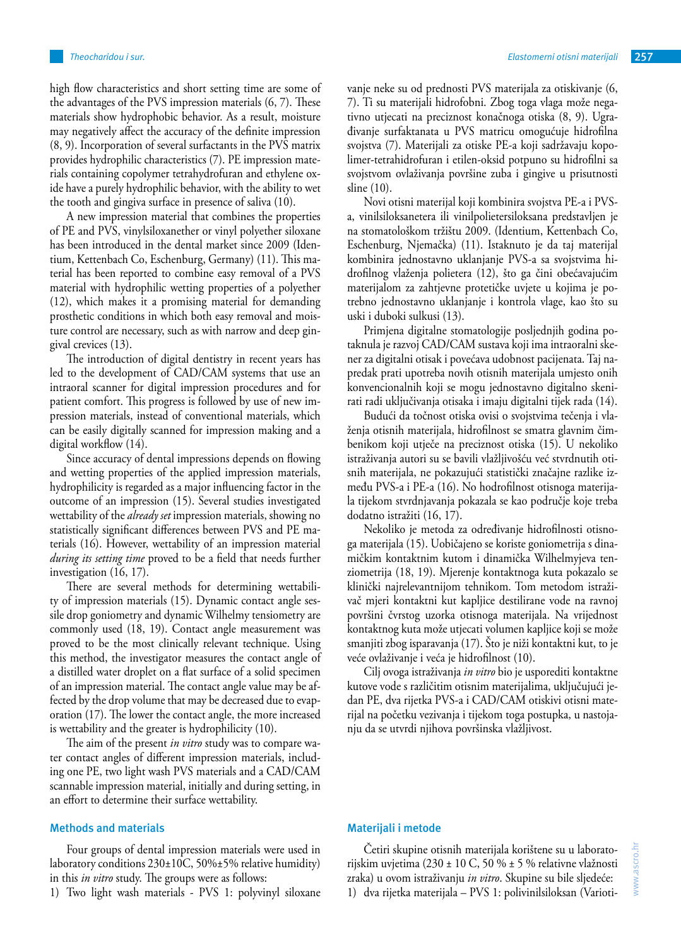high flow characteristics and short setting time are some of the advantages of the PVS impression materials (6, 7). These materials show hydrophobic behavior. As a result, moisture may negatively affect the accuracy of the definite impression (8, 9). Incorporation of several surfactants in the PVS matrix provides hydrophilic characteristics (7). PE impression materials containing copolymer tetrahydrofuran and ethylene oxide have a purely hydrophilic behavior, with the ability to wet

the tooth and gingiva surface in presence of saliva (10). A new impression material that combines the properties of PE and PVS, vinylsiloxanether or vinyl polyether siloxane has been introduced in the dental market since 2009 (Identium, Kettenbach Co, Eschenburg, Germany) (11). This material has been reported to combine easy removal of a PVS material with hydrophilic wetting properties of a polyether (12), which makes it a promising material for demanding prosthetic conditions in which both easy removal and moisture control are necessary, such as with narrow and deep gingival crevices (13).

The introduction of digital dentistry in recent years has led to the development of CAD/CAM systems that use an intraoral scanner for digital impression procedures and for patient comfort. This progress is followed by use of new impression materials, instead of conventional materials, which can be easily digitally scanned for impression making and a digital workflow (14).

Since accuracy of dental impressions depends on flowing and wetting properties of the applied impression materials, hydrophilicity is regarded as a major influencing factor in the outcome of an impression (15). Several studies investigated wettability of the *already set* impression materials, showing no statistically significant differences between PVS and PE materials (16). However, wettability of an impression material *during its setting time* proved to be a field that needs further investigation (16, 17).

There are several methods for determining wettability of impression materials (15). Dynamic contact angle sessile drop goniometry and dynamic Wilhelmy tensiometry are commonly used (18, 19). Contact angle measurement was proved to be the most clinically relevant technique. Using this method, the investigator measures the contact angle of a distilled water droplet on a flat surface of a solid specimen of an impression material. The contact angle value may be affected by the drop volume that may be decreased due to evaporation (17). The lower the contact angle, the more increased is wettability and the greater is hydrophilicity (10).

The aim of the present *in vitro* study was to compare water contact angles of different impression materials, including one PE, two light wash PVS materials and a CAD/CAM scannable impression material, initially and during setting, in an effort to determine their surface wettability.

# **Methods and materials**

Four groups of dental impression materials were used in laboratory conditions 230±10C, 50%±5% relative humidity) in this *in vitro* study. The groups were as follows:

1) Two light wash materials - PVS 1: polyvinyl siloxane

vanje neke su od prednosti PVS materijala za otiskivanje (6, 7). Ti su materijali hidrofobni. Zbog toga vlaga može negativno utjecati na preciznost konačnoga otiska (8, 9). Ugrađivanje surfaktanata u PVS matricu omogućuje hidrofilna svojstva (7). Materijali za otiske PE-a koji sadržavaju kopolimer-tetrahidrofuran i etilen-oksid potpuno su hidrofilni sa svojstvom ovlaživanja površine zuba i gingive u prisutnosti sline (10).

Novi otisni materijal koji kombinira svojstva PE-a i PVSa, vinilsiloksanetera ili vinilpolietersiloksana predstavljen je na stomatološkom tržištu 2009. (Identium, Kettenbach Co, Eschenburg, Njemačka) (11). Istaknuto je da taj materijal kombinira jednostavno uklanjanje PVS-a sa svojstvima hidrofilnog vlaženja polietera (12), što ga čini obećavajućim materijalom za zahtjevne protetičke uvjete u kojima je potrebno jednostavno uklanjanje i kontrola vlage, kao što su uski i duboki sulkusi (13).

Primjena digitalne stomatologije posljednjih godina potaknula je razvoj CAD/CAM sustava koji ima intraoralni skener za digitalni otisak i povećava udobnost pacijenata. Taj napredak prati upotreba novih otisnih materijala umjesto onih konvencionalnih koji se mogu jednostavno digitalno skenirati radi uključivanja otisaka i imaju digitalni tijek rada (14).

Budući da točnost otiska ovisi o svojstvima tečenja i vlaženja otisnih materijala, hidrofilnost se smatra glavnim čimbenikom koji utječe na preciznost otiska (15). U nekoliko istraživanja autori su se bavili vlažljivošću već stvrdnutih otisnih materijala, ne pokazujući statistički značajne razlike između PVS-a i PE-a (16). No hodrofilnost otisnoga materijala tijekom stvrdnjavanja pokazala se kao područje koje treba dodatno istražiti (16, 17).

Nekoliko je metoda za određivanje hidrofilnosti otisnoga materijala (15). Uobičajeno se koriste goniometrija s dinamičkim kontaktnim kutom i dinamička Wilhelmyjeva tenziometrija (18, 19). Mjerenje kontaktnoga kuta pokazalo se klinički najrelevantnijom tehnikom. Tom metodom istraživač mjeri kontaktni kut kapljice destilirane vode na ravnoj površini čvrstog uzorka otisnoga materijala. Na vrijednost kontaktnog kuta može utjecati volumen kapljice koji se može smanjiti zbog isparavanja (17). Što je niži kontaktni kut, to je veće ovlaživanje i veća je hidrofilnost (10).

Cilj ovoga istraživanja *in vitro* bio je usporediti kontaktne kutove vode s različitim otisnim materijalima, uključujući jedan PE, dva rijetka PVS-a i CAD/CAM otiskivi otisni materijal na početku vezivanja i tijekom toga postupka, u nastojanju da se utvrdi njihova površinska vlažljivost.

# **Materijali i metode**

Četiri skupine otisnih materijala korištene su u laboratorijskim uvjetima (230 ± 10 C, 50 % ± 5 % relativne vlažnosti zraka) u ovom istraživanju *in vitro*. Skupine su bile sljedeće: 1) dva rijetka materijala – PVS 1: polivinilsiloksan (Varioti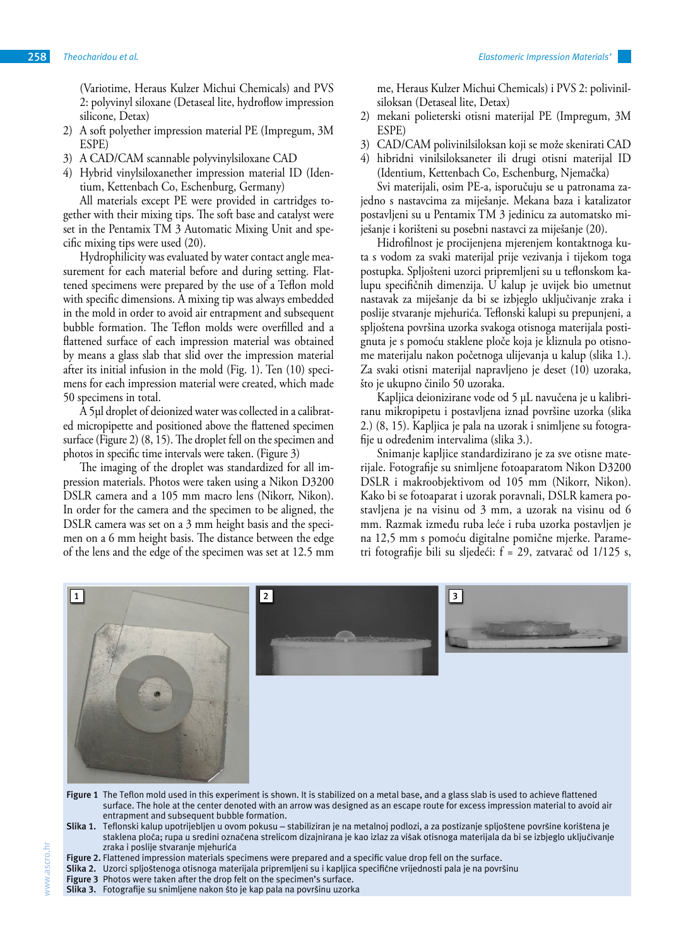(Variotime, Heraus Kulzer Michui Chemicals) and PVS 2: polyvinyl siloxane (Detaseal lite, hydroflow impression silicone, Detax)

- 2) A soft polyether impression material PE (Impregum, 3M ESPE)
- 3) A CAD/CAM scannable polyvinylsiloxane CAD
- 4) Hybrid vinylsiloxanether impression material ID (Identium, Kettenbach Co, Eschenburg, Germany)

All materials except PE were provided in cartridges together with their mixing tips. The soft base and catalyst were set in the Pentamix TM 3 Automatic Mixing Unit and specific mixing tips were used (20).

Hydrophilicity was evaluated by water contact angle measurement for each material before and during setting. Flattened specimens were prepared by the use of a Teflon mold with specific dimensions. A mixing tip was always embedded in the mold in order to avoid air entrapment and subsequent bubble formation. The Teflon molds were overfilled and a flattened surface of each impression material was obtained by means a glass slab that slid over the impression material after its initial infusion in the mold (Fig. 1). Ten (10) specimens for each impression material were created, which made 50 specimens in total.

A 5µl droplet of deionized water was collected in a calibrated micropipette and positioned above the flattened specimen surface (Figure 2) (8, 15). The droplet fell on the specimen and photos in specific time intervals were taken. (Figure 3)

The imaging of the droplet was standardized for all impression materials. Photos were taken using a Nikon D3200 DSLR camera and a 105 mm macro lens (Nikorr, Nikon). In order for the camera and the specimen to be aligned, the DSLR camera was set on a 3 mm height basis and the specimen on a 6 mm height basis. The distance between the edge of the lens and the edge of the specimen was set at 12.5 mm me, Heraus Kulzer Michui Chemicals) i PVS 2: polivinilsiloksan (Detaseal lite, Detax)

- 2) mekani polieterski otisni materijal PE (Impregum, 3M ESPE)
- 3) CAD/CAM polivinilsiloksan koji se može skenirati CAD
- 4) hibridni vinilsiloksaneter ili drugi otisni materijal ID (Identium, Kettenbach Co, Eschenburg, Njemačka)

Svi materijali, osim PE-a, isporučuju se u patronama zajedno s nastavcima za miješanje. Mekana baza i katalizator postavljeni su u Pentamix TM 3 jedinicu za automatsko miješanje i korišteni su posebni nastavci za miješanje (20).

Hidrofilnost je procijenjena mjerenjem kontaktnoga kuta s vodom za svaki materijal prije vezivanja i tijekom toga postupka. Spljošteni uzorci pripremljeni su u teflonskom kalupu specifičnih dimenzija. U kalup je uvijek bio umetnut nastavak za miješanje da bi se izbjeglo uključivanje zraka i poslije stvaranje mjehurića. Teflonski kalupi su prepunjeni, a spljoštena površina uzorka svakoga otisnoga materijala postignuta je s pomoću staklene ploče koja je kliznula po otisnome materijalu nakon početnoga ulijevanja u kalup (slika 1.). Za svaki otisni materijal napravljeno je deset (10) uzoraka, što je ukupno činilo 50 uzoraka.

Kapljica deionizirane vode od 5 µL navučena je u kalibriranu mikropipetu i postavljena iznad površine uzorka (slika 2.) (8, 15). Kapljica je pala na uzorak i snimljene su fotografije u određenim intervalima (slika 3.).

Snimanje kapljice standardizirano je za sve otisne materijale. Fotografije su snimljene fotoaparatom Nikon D3200 DSLR i makroobjektivom od 105 mm (Nikorr, Nikon). Kako bi se fotoaparat i uzorak poravnali, DSLR kamera postavljena je na visinu od 3 mm, a uzorak na visinu od 6 mm. Razmak između ruba leće i ruba uzorka postavljen je na 12,5 mm s pomoću digitalne pomične mjerke. Parametri fotografije bili su sljedeći: f = 29, zatvarač od 1/125 s,



- **Figure 1** The Teflon mold used in this experiment is shown. It is stabilized on a metal base, and a glass slab is used to achieve flattened surface. The hole at the center denoted with an arrow was designed as an escape route for excess impression material to avoid air entrapment and subsequent bubble formation.
- **Slika 1.** Teflonski kalup upotrijebljen u ovom pokusu stabiliziran je na metalnoj podlozi, a za postizanje spljoštene površine korištena je staklena ploča; rupa u sredini označena strelicom dizajnirana je kao izlaz za višak otisnoga materijala da bi se izbjeglo uključivanje zraka i poslije stvaranje mjehurića
- Figure 2. Flattened impression materials specimens were prepared and a specific value drop fell on the surface.
- **Slika 2.** Uzorci spljoštenoga otisnoga materijala pripremljeni su i kapljica specifične vrijednosti pala je na površinu
- Figure 3 Photos were taken after the drop felt on the specimen's surface.
- **Slika 3.** Fotografije su snimljene nakon što je kap pala na površinu uzorka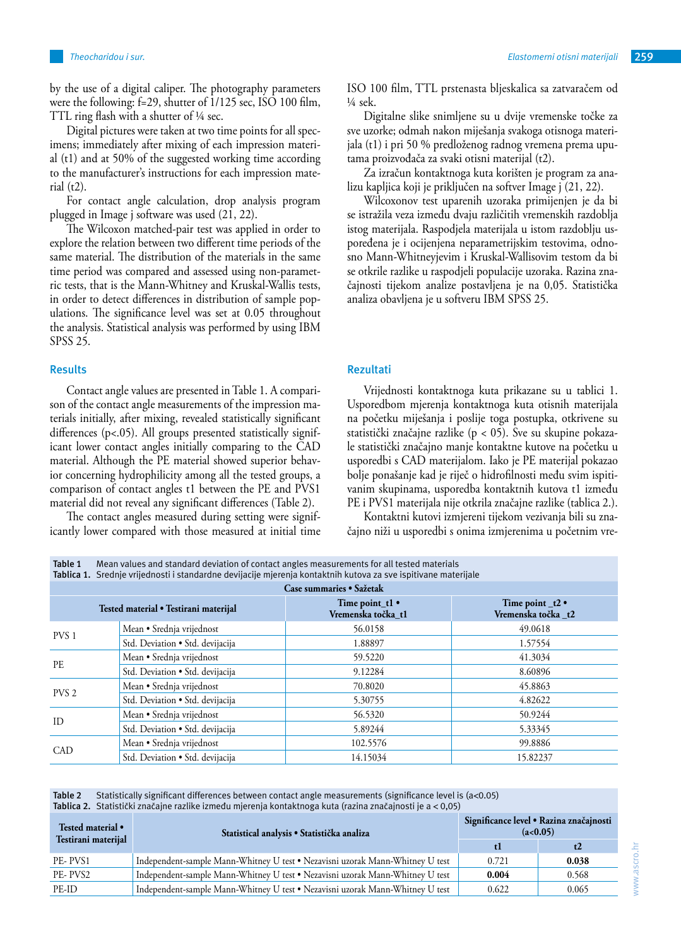by the use of a digital caliper. The photography parameters were the following: f=29, shutter of 1/125 sec, ISO 100 film, TTL ring flash with a shutter of ¼ sec.

Digital pictures were taken at two time points for all specimens; immediately after mixing of each impression material (t1) and at 50% of the suggested working time according to the manufacturer's instructions for each impression mate $rial (t2)$ .

For contact angle calculation, drop analysis program plugged in Image j software was used  $(2\overline{1}, 22)$ .

The Wilcoxon matched-pair test was applied in order to explore the relation between two different time periods of the same material. The distribution of the materials in the same time period was compared and assessed using non-parametric tests, that is the Mann-Whitney and Kruskal-Wallis tests, in order to detect differences in distribution of sample populations. The significance level was set at 0.05 throughout the analysis. Statistical analysis was performed by using IBM SPSS 25.

## **Results**

Contact angle values are presented in Table 1. A comparison of the contact angle measurements of the impression materials initially, after mixing, revealed statistically significant differences (p<.05). All groups presented statistically significant lower contact angles initially comparing to the CAD material. Although the PE material showed superior behavior concerning hydrophilicity among all the tested groups, a comparison of contact angles t1 between the PE and PVS1 material did not reveal any significant differences (Table 2).

The contact angles measured during setting were significantly lower compared with those measured at initial time ISO 100 film, TTL prstenasta bljeskalica sa zatvaračem od

Digitalne slike snimljene su u dvije vremenske točke za sve uzorke; odmah nakon miješanja svakoga otisnoga materijala (t1) i pri 50 % predloženog radnog vremena prema uputama proizvođača za svaki otisni materijal (t2).

Za izračun kontaktnoga kuta korišten je program za analizu kapljica koji je priključen na softver Image j (21, 22).

Wilcoxonov test uparenih uzoraka primijenjen je da bi se istražila veza između dvaju različitih vremenskih razdoblja istog materijala. Raspodjela materijala u istom razdoblju uspoređena je i ocijenjena neparametrijskim testovima, odnosno Mann-Whitneyjevim i Kruskal-Wallisovim testom da bi se otkrile razlike u raspodjeli populacije uzoraka. Razina značajnosti tijekom analize postavljena je na 0,05. Statistička analiza obavljena je u softveru IBM SPSS 25.

## **Rezultati**

¼ sek.

Vrijednosti kontaktnoga kuta prikazane su u tablici 1. Usporedbom mjerenja kontaktnoga kuta otisnih materijala na početku miješanja i poslije toga postupka, otkrivene su statistički značajne razlike (p < 05). Sve su skupine pokazale statistički značajno manje kontaktne kutove na početku u usporedbi s CAD materijalom. Iako je PE materijal pokazao bolje ponašanje kad je riječ o hidrofilnosti među svim ispitivanim skupinama, usporedba kontaktnih kutova t1 između PE i PVS1 materijala nije otkrila značajne razlike (tablica 2.).

Kontaktni kutovi izmjereni tijekom vezivanja bili su značajno niži u usporedbi s onima izmjerenima u početnim vre-

| Tablica 1. Srednje vrijednosti i standardne devijacije mjerenja kontaktnih kutova za sve ispitivane materijale |                                                 |                                              |  |  |
|----------------------------------------------------------------------------------------------------------------|-------------------------------------------------|----------------------------------------------|--|--|
| Case summaries • Sažetak                                                                                       |                                                 |                                              |  |  |
|                                                                                                                | Time point $t1$ $\bullet$<br>Vremenska točka t1 | Time point $_t2 \cdot$<br>Vremenska točka t2 |  |  |
| Mean · Srednja vrijednost                                                                                      | 56.0158                                         | 49.0618                                      |  |  |
| Std. Deviation • Std. devijacija                                                                               | 1.88897                                         | 1.57554                                      |  |  |
| Mean • Srednja vrijednost                                                                                      | 59.5220                                         | 41.3034                                      |  |  |
| Std. Deviation • Std. devijacija                                                                               | 9.12284                                         | 8.60896                                      |  |  |
| Mean • Srednja vrijednost                                                                                      | 70.8020                                         | 45.8863                                      |  |  |
| Std. Deviation • Std. devijacija                                                                               | 5.30755                                         | 4.82622                                      |  |  |
| Mean • Srednja vrijednost                                                                                      | 56.5320                                         | 50.9244                                      |  |  |
| Std. Deviation • Std. devijacija                                                                               | 5.89244                                         | 5.33345                                      |  |  |
| Mean • Srednja vrijednost                                                                                      | 102.5576                                        | 99.8886                                      |  |  |
| Std. Deviation • Std. devijacija                                                                               | 14.15034                                        | 15.82237                                     |  |  |
|                                                                                                                | Tested material • Testirani materijal           |                                              |  |  |

**Table 2** Statistically significant differences between contact angle measurements (significance level is (a<0.05) **Tablica 2.** Statistički značajne razlike između mjerenja kontaktnoga kuta (razina značajnosti je a < 0,05)

**Table 1** Mean values and standard deviation of contact angles measurements for all tested materials

| Tested material •   | Statistical analysis · Statistička analiza                                    | Significance level • Razina značajnosti<br>(a<0.05) |       |
|---------------------|-------------------------------------------------------------------------------|-----------------------------------------------------|-------|
| Testirani materijal |                                                                               |                                                     | t2    |
| PE-PVS1             | Independent-sample Mann-Whitney U test • Nezavisni uzorak Mann-Whitney U test | 0.721                                               | 0.038 |
| PE-PVS2             | Independent-sample Mann-Whitney U test • Nezavisni uzorak Mann-Whitney U test | 0.004                                               | 0.568 |
| PE-ID               | Independent-sample Mann-Whitney U test • Nezavisni uzorak Mann-Whitney U test | 0.622                                               | 0.065 |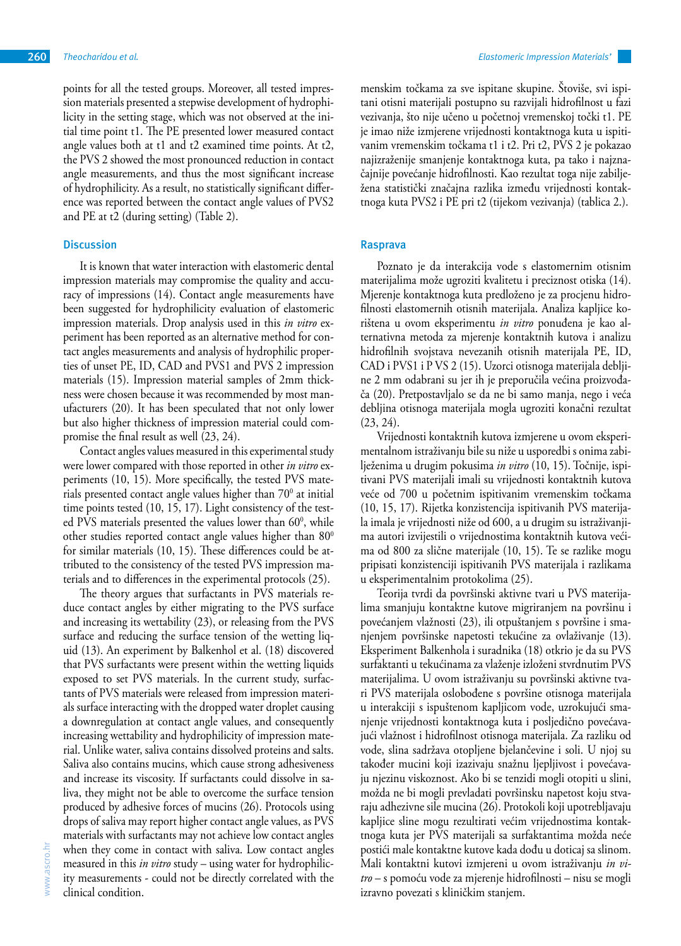points for all the tested groups. Moreover, all tested impression materials presented a stepwise development of hydrophilicity in the setting stage, which was not observed at the initial time point t1. The PE presented lower measured contact angle values both at t1 and t2 examined time points. At t2, the PVS 2 showed the most pronounced reduction in contact angle measurements, and thus the most significant increase of hydrophilicity. As a result, no statistically significant difference was reported between the contact angle values of PVS2 and PE at t2 (during setting) (Table 2).

# **Discussion**

It is known that water interaction with elastomeric dental impression materials may compromise the quality and accuracy of impressions (14). Contact angle measurements have been suggested for hydrophilicity evaluation of elastomeric impression materials. Drop analysis used in this *in vitro* experiment has been reported as an alternative method for contact angles measurements and analysis of hydrophilic properties of unset PE, ID, CAD and PVS1 and PVS 2 impression materials (15). Impression material samples of 2mm thickness were chosen because it was recommended by most manufacturers (20). It has been speculated that not only lower but also higher thickness of impression material could compromise the final result as well (23, 24).

Contact angles values measured in this experimental study were lower compared with those reported in other *in vitro* experiments (10, 15). More specifically, the tested PVS materials presented contact angle values higher than  $70^{\circ}$  at initial time points tested (10, 15, 17). Light consistency of the tested PVS materials presented the values lower than 60<sup>0</sup>, while other studies reported contact angle values higher than  $80^{\circ}$ for similar materials (10, 15). These differences could be attributed to the consistency of the tested PVS impression materials and to differences in the experimental protocols (25).

The theory argues that surfactants in PVS materials reduce contact angles by either migrating to the PVS surface and increasing its wettability (23), or releasing from the PVS surface and reducing the surface tension of the wetting liquid (13). An experiment by Balkenhol et al. (18) discovered that PVS surfactants were present within the wetting liquids exposed to set PVS materials. In the current study, surfactants of PVS materials were released from impression materials surface interacting with the dropped water droplet causing a downregulation at contact angle values, and consequently increasing wettability and hydrophilicity of impression material. Unlike water, saliva contains dissolved proteins and salts. Saliva also contains mucins, which cause strong adhesiveness and increase its viscosity. If surfactants could dissolve in saliva, they might not be able to overcome the surface tension produced by adhesive forces of mucins (26). Protocols using drops of saliva may report higher contact angle values, as PVS materials with surfactants may not achieve low contact angles when they come in contact with saliva. Low contact angles measured in this *in vitro* study – using water for hydrophilicity measurements - could not be directly correlated with the clinical condition.

menskim točkama za sve ispitane skupine. Štoviše, svi ispitani otisni materijali postupno su razvijali hidrofilnost u fazi vezivanja, što nije učeno u početnoj vremenskoj točki t1. PE je imao niže izmjerene vrijednosti kontaktnoga kuta u ispitivanim vremenskim točkama t1 i t2. Pri t2, PVS 2 je pokazao najizraženije smanjenje kontaktnoga kuta, pa tako i najznačajnije povećanje hidrofilnosti. Kao rezultat toga nije zabilježena statistički značajna razlika između vrijednosti kontaktnoga kuta PVS2 i PE pri t2 (tijekom vezivanja) (tablica 2.).

## **Rasprava**

Poznato je da interakcija vode s elastomernim otisnim materijalima može ugroziti kvalitetu i preciznost otiska (14). Mjerenje kontaktnoga kuta predloženo je za procjenu hidrofilnosti elastomernih otisnih materijala. Analiza kapljice korištena u ovom eksperimentu *in vitro* ponuđena je kao alternativna metoda za mjerenje kontaktnih kutova i analizu hidrofilnih svojstava nevezanih otisnih materijala PE, ID, CAD i PVS1 i P VS 2 (15). Uzorci otisnoga materijala debljine 2 mm odabrani su jer ih je preporučila većina proizvođača (20). Pretpostavljalo se da ne bi samo manja, nego i veća debljina otisnoga materijala mogla ugroziti konačni rezultat (23, 24).

Vrijednosti kontaktnih kutova izmjerene u ovom eksperimentalnom istraživanju bile su niže u usporedbi s onima zabilježenima u drugim pokusima *in vitro* (10, 15). Točnije, ispitivani PVS materijali imali su vrijednosti kontaktnih kutova veće od 700 u početnim ispitivanim vremenskim točkama (10, 15, 17). Rijetka konzistencija ispitivanih PVS materijala imala je vrijednosti niže od 600, a u drugim su istraživanjima autori izvijestili o vrijednostima kontaktnih kutova većima od 800 za slične materijale (10, 15). Te se razlike mogu pripisati konzistenciji ispitivanih PVS materijala i razlikama u eksperimentalnim protokolima (25).

Teorija tvrdi da površinski aktivne tvari u PVS materijalima smanjuju kontaktne kutove migriranjem na površinu i povećanjem vlažnosti (23), ili otpuštanjem s površine i smanjenjem površinske napetosti tekućine za ovlaživanje (13). Eksperiment Balkenhola i suradnika (18) otkrio je da su PVS surfaktanti u tekućinama za vlaženje izloženi stvrdnutim PVS materijalima. U ovom istraživanju su površinski aktivne tvari PVS materijala oslobođene s površine otisnoga materijala u interakciji s ispuštenom kapljicom vode, uzrokujući smanjenje vrijednosti kontaktnoga kuta i posljedično povećavajući vlažnost i hidrofilnost otisnoga materijala. Za razliku od vode, slina sadržava otopljene bjelančevine i soli. U njoj su također mucini koji izazivaju snažnu ljepljivost i povećavaju njezinu viskoznost. Ako bi se tenzidi mogli otopiti u slini, možda ne bi mogli prevladati površinsku napetost koju stvaraju adhezivne sile mucina (26). Protokoli koji upotrebljavaju kapljice sline mogu rezultirati većim vrijednostima kontaktnoga kuta jer PVS materijali sa surfaktantima možda neće postići male kontaktne kutove kada dođu u doticaj sa slinom. Mali kontaktni kutovi izmjereni u ovom istraživanju *in vitro* – s pomoću vode za mjerenje hidrofilnosti – nisu se mogli izravno povezati s kliničkim stanjem.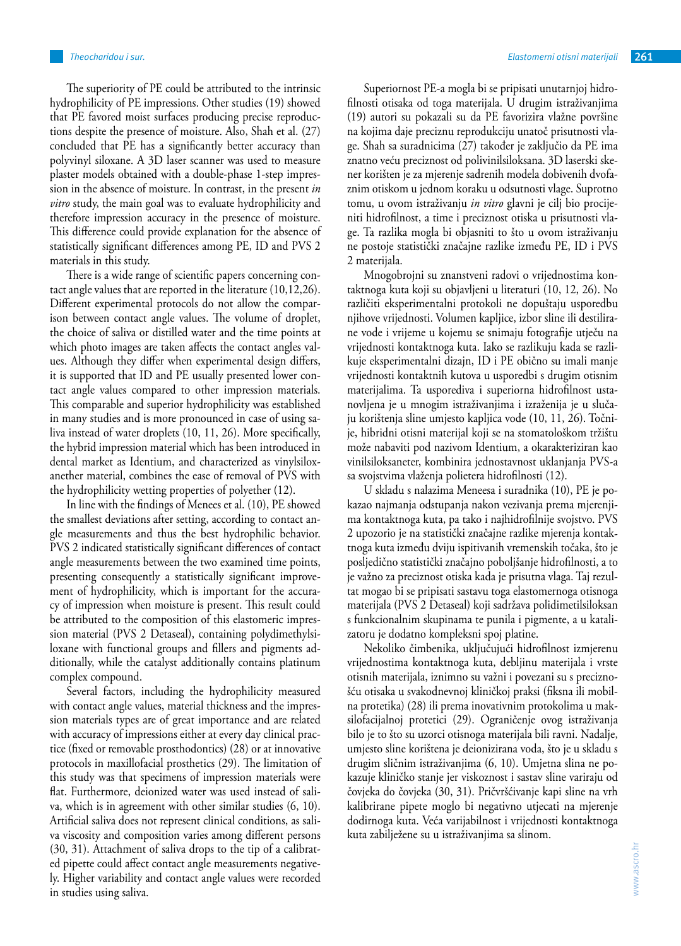The superiority of PE could be attributed to the intrinsic hydrophilicity of PE impressions. Other studies (19) showed that PE favored moist surfaces producing precise reproductions despite the presence of moisture. Also, Shah et al. (27) concluded that PE has a significantly better accuracy than polyvinyl siloxane. A 3D laser scanner was used to measure plaster models obtained with a double-phase 1-step impression in the absence of moisture. In contrast, in the present *in vitro* study, the main goal was to evaluate hydrophilicity and therefore impression accuracy in the presence of moisture. This difference could provide explanation for the absence of statistically significant differences among PE, ID and PVS 2 materials in this study.

There is a wide range of scientific papers concerning contact angle values that are reported in the literature (10,12,26). Different experimental protocols do not allow the comparison between contact angle values. The volume of droplet, the choice of saliva or distilled water and the time points at which photo images are taken affects the contact angles values. Although they differ when experimental design differs, it is supported that ID and PE usually presented lower contact angle values compared to other impression materials. This comparable and superior hydrophilicity was established in many studies and is more pronounced in case of using saliva instead of water droplets (10, 11, 26). More specifically, the hybrid impression material which has been introduced in dental market as Identium, and characterized as vinylsiloxanether material, combines the ease of removal of PVS with the hydrophilicity wetting properties of polyether (12).

In line with the findings of Menees et al. (10), PE showed the smallest deviations after setting, according to contact angle measurements and thus the best hydrophilic behavior. PVS 2 indicated statistically significant differences of contact angle measurements between the two examined time points, presenting consequently a statistically significant improvement of hydrophilicity, which is important for the accuracy of impression when moisture is present. This result could be attributed to the composition of this elastomeric impression material (PVS 2 Detaseal), containing polydimethylsiloxane with functional groups and fillers and pigments additionally, while the catalyst additionally contains platinum complex compound.

Several factors, including the hydrophilicity measured with contact angle values, material thickness and the impression materials types are of great importance and are related with accuracy of impressions either at every day clinical practice (fixed or removable prosthodontics) (28) or at innovative protocols in maxillofacial prosthetics (29). The limitation of this study was that specimens of impression materials were flat. Furthermore, deionized water was used instead of saliva, which is in agreement with other similar studies (6, 10). Artificial saliva does not represent clinical conditions, as saliva viscosity and composition varies among different persons (30, 31). Attachment of saliva drops to the tip of a calibrated pipette could affect contact angle measurements negatively. Higher variability and contact angle values were recorded in studies using saliva.

Superiornost PE-a mogla bi se pripisati unutarnjoj hidrofilnosti otisaka od toga materijala. U drugim istraživanjima (19) autori su pokazali su da PE favorizira vlažne površine na kojima daje preciznu reprodukciju unatoč prisutnosti vlage. Shah sa suradnicima (27) također je zaključio da PE ima znatno veću preciznost od polivinilsiloksana. 3D laserski skener korišten je za mjerenje sadrenih modela dobivenih dvofaznim otiskom u jednom koraku u odsutnosti vlage. Suprotno tomu, u ovom istraživanju *in vitro* glavni je cilj bio procijeniti hidrofilnost, a time i preciznost otiska u prisutnosti vlage. Ta razlika mogla bi objasniti to što u ovom istraživanju ne postoje statistički značajne razlike između PE, ID i PVS 2 materijala.

Mnogobrojni su znanstveni radovi o vrijednostima kontaktnoga kuta koji su objavljeni u literaturi (10, 12, 26). No različiti eksperimentalni protokoli ne dopuštaju usporedbu njihove vrijednosti. Volumen kapljice, izbor sline ili destilirane vode i vrijeme u kojemu se snimaju fotografije utječu na vrijednosti kontaktnoga kuta. Iako se razlikuju kada se razlikuje eksperimentalni dizajn, ID i PE obično su imali manje vrijednosti kontaktnih kutova u usporedbi s drugim otisnim materijalima. Ta usporediva i superiorna hidrofilnost ustanovljena je u mnogim istraživanjima i izraženija je u slučaju korištenja sline umjesto kapljica vode (10, 11, 26). Točnije, hibridni otisni materijal koji se na stomatološkom tržištu može nabaviti pod nazivom Identium, a okarakteriziran kao vinilsiloksaneter, kombinira jednostavnost uklanjanja PVS-a sa svojstvima vlaženja polietera hidrofilnosti (12).

U skladu s nalazima Meneesa i suradnika (10), PE je pokazao najmanja odstupanja nakon vezivanja prema mjerenjima kontaktnoga kuta, pa tako i najhidrofilnije svojstvo. PVS 2 upozorio je na statistički značajne razlike mjerenja kontaktnoga kuta između dviju ispitivanih vremenskih točaka, što je posljedično statistički značajno poboljšanje hidrofilnosti, a to je važno za preciznost otiska kada je prisutna vlaga. Taj rezultat mogao bi se pripisati sastavu toga elastomernoga otisnoga materijala (PVS 2 Detaseal) koji sadržava polidimetilsiloksan s funkcionalnim skupinama te punila i pigmente, a u katalizatoru je dodatno kompleksni spoj platine.

Nekoliko čimbenika, uključujući hidrofilnost izmjerenu vrijednostima kontaktnoga kuta, debljinu materijala i vrste otisnih materijala, iznimno su važni i povezani su s preciznošću otisaka u svakodnevnoj kliničkoj praksi (fiksna ili mobilna protetika) (28) ili prema inovativnim protokolima u maksilofacijalnoj protetici (29). Ograničenje ovog istraživanja bilo je to što su uzorci otisnoga materijala bili ravni. Nadalje, umjesto sline korištena je deionizirana voda, što je u skladu s drugim sličnim istraživanjima (6, 10). Umjetna slina ne pokazuje kliničko stanje jer viskoznost i sastav sline variraju od čovjeka do čovjeka (30, 31). Pričvršćivanje kapi sline na vrh kalibrirane pipete moglo bi negativno utjecati na mjerenje dodirnoga kuta. Veća varijabilnost i vrijednosti kontaktnoga kuta zabilježene su u istraživanjima sa slinom.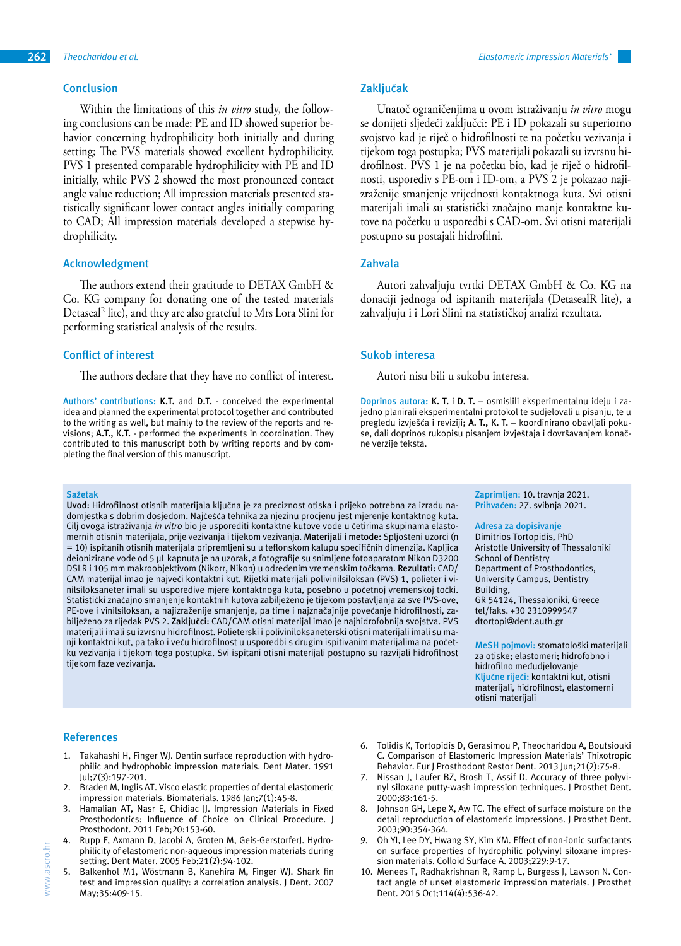# **Conclusion**

Within the limitations of this *in vitro* study, the following conclusions can be made: PE and ID showed superior behavior concerning hydrophilicity both initially and during setting; The PVS materials showed excellent hydrophilicity. PVS 1 presented comparable hydrophilicity with PE and ID initially, while PVS 2 showed the most pronounced contact angle value reduction; All impression materials presented statistically significant lower contact angles initially comparing to CAD; All impression materials developed a stepwise hydrophilicity.

## **Acknowledgment**

The authors extend their gratitude to DETAX GmbH & Co. KG company for donating one of the tested materials Detaseal<sup>R</sup> lite), and they are also grateful to Mrs Lora Slini for performing statistical analysis of the results.

## **Conflict of interest**

The authors declare that they have no conflict of interest.

**Authors' contributions: K.T.** and **D.T.** - conceived the experimental idea and planned the experimental protocol together and contributed to the writing as well, but mainly to the review of the reports and revisions; **A.T., K.T.** - performed the experiments in coordination. They contributed to this manuscript both by writing reports and by completing the final version of this manuscript.

#### **Sažetak**

**Uvod:** Hidrofilnost otisnih materijala ključna je za preciznost otiska i prijeko potrebna za izradu nadomjestka s dobrim dosjedom. Najčešća tehnika za njezinu procjenu jest mjerenje kontaktnog kuta. Cilj ovoga istraživanja *in vitro* bio je usporediti kontaktne kutove vode u četirima skupinama elastomernih otisnih materijala, prije vezivanja i tijekom vezivanja. **Materijali i metode:** Spljošteni uzorci (n = 10) ispitanih otisnih materijala pripremljeni su u teflonskom kalupu specifičnih dimenzija. Kapljica deionizirane vode od 5 μL kapnuta je na uzorak, a fotografije su snimljene fotoaparatom Nikon D3200 DSLR i 105 mm makroobjektivom (Nikorr, Nikon) u određenim vremenskim točkama. **Rezultati:** CAD/ CAM materijal imao je najveći kontaktni kut. Rijetki materijali polivinilsiloksan (PVS) 1, polieter i vinilsiloksaneter imali su usporedive mjere kontaktnoga kuta, posebno u početnoj vremenskoj točki. Statistički značajno smanjenje kontaktnih kutova zabilježeno je tijekom postavljanja za sve PVS-ove, PE-ove i vinilsiloksan, a najizraženije smanjenje, pa time i najznačajnije povećanje hidrofilnosti, zabilježeno za rijedak PVS 2. **Zaključci:** CAD/CAM otisni materijal imao je najhidrofobnija svojstva. PVS materijali imali su izvrsnu hidrofilnost. Polieterski i poliviniloksaneterski otisni materijali imali su manji kontaktni kut, pa tako i veću hidrofilnost u usporedbi s drugim ispitivanim materijalima na početku vezivanja i tijekom toga postupka. Svi ispitani otisni materijali postupno su razvijali hidrofilnost tijekom faze vezivanja.

## **Zaključak**

Unatoč ograničenjima u ovom istraživanju *in vitro* mogu se donijeti sljedeći zaključci: PE i ID pokazali su superiorno svojstvo kad je riječ o hidrofilnosti te na početku vezivanja i tijekom toga postupka; PVS materijali pokazali su izvrsnu hidrofilnost. PVS 1 je na početku bio, kad je riječ o hidrofilnosti, usporediv s PE-om i ID-om, a PVS 2 je pokazao najizraženije smanjenje vrijednosti kontaktnoga kuta. Svi otisni materijali imali su statistički značajno manje kontaktne kutove na početku u usporedbi s CAD-om. Svi otisni materijali postupno su postajali hidrofilni.

## **Zahvala**

Autori zahvaljuju tvrtki DETAX GmbH & Co. KG na donaciji jednoga od ispitanih materijala (DetasealR lite), a zahvaljuju i i Lori Slini na statističkoj analizi rezultata.

#### **Sukob interesa**

Autori nisu bili u sukobu interesa.

**Doprinos autora: K. T.** i **D. T.** – osmislili eksperimentalnu ideju i zajedno planirali eksperimentalni protokol te sudjelovali u pisanju, te u pregledu izvješća i reviziji; **A. T., K. T.** – koordinirano obavljali pokuse, dali doprinos rukopisu pisanjem izvještaja i dovršavanjem konačne verzije teksta.

> **Zaprimljen:** 10. travnja 2021. **Prihvaćen:** 27. svibnja 2021.

#### **Adresa za dopisivanje**

Dimitrios Tortopidis, PhD Aristotle University of Thessaloniki School of Dentistry Department of Prosthodontics, University Campus, Dentistry Building, GR 54124, Thessaloniki, Greece tel/faks. +30 2310999547 dtortopi@dent.auth.gr

**MeSH pojmovi:** stomatološki materijali za otiske; elastomeri; hidrofobno i hidrofilno međudjelovanje **Ključne riječi:** kontaktni kut, otisni materijali, hidrofilnost, elastomerni otisni materijali

## **References**

- Takahashi H, Finger WJ. Dentin surface reproduction with hydrophilic and hydrophobic impression materials. Dent Mater. 1991 Jul;7(3):197-201.
- Braden M, Inglis AT. Visco elastic properties of dental elastomeric impression materials. Biomaterials. 1986 Jan;7(1):45-8.
- 3. Hamalian AT, Nasr E, Chidiac JJ. Impression Materials in Fixed Prosthodontics: Influence of Choice on Clinical Procedure. J Prosthodont. 2011 Feb;20:153-60.
- 4. Rupp F, Axmann D, Jacobi A, Groten M, Geis-GerstorferJ. Hydrophilicity of elastomeric non-aqueous impression materials during setting. Dent Mater. 2005 Feb;21(2):94-102.
- 5. Balkenhol M1, Wöstmann B, Kanehira M, Finger WJ. Shark fin test and impression quality: a correlation analysis. J Dent. 2007 May;35:409-15.
- 6. Tolidis K, Tortopidis D, Gerasimou P, Theocharidou A, Boutsiouki C. Comparison of Elastomeric Impression Materials' Thixotropic Behavior. Eur J Prosthodont Restor Dent. 2013 Jun;21(2):75-8.
- 7. Nissan J, Laufer BZ, Brosh T, Assif D. Accuracy of three polyvinyl siloxane putty-wash impression techniques. J Prosthet Dent. 2000;83:161-5.
- 8. Johnson GH, Lepe X, Aw TC. The effect of surface moisture on the detail reproduction of elastomeric impressions. J Prosthet Dent. 2003;90:354-364.
- 9. Oh YI, Lee DY, Hwang SY, Kim KM. Effect of non-ionic surfactants on surface properties of hydrophilic polyvinyl siloxane impression materials. Colloid Surface A. 2003;229:9-17.
- 10. Menees T, Radhakrishnan R, Ramp L, Burgess J, Lawson N. Contact angle of unset elastomeric impression materials. J Prosthet Dent. 2015 Oct;114(4):536-42.